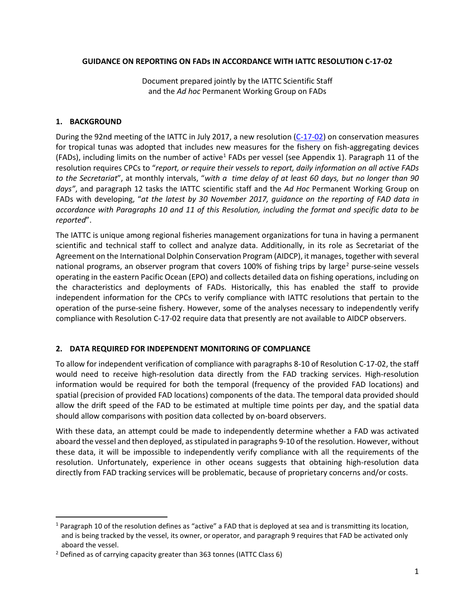## **GUIDANCE ON REPORTING ON FADs IN ACCORDANCE WITH IATTC RESOLUTION C-17-02**

Document prepared jointly by the IATTC Scientific Staff and the *Ad hoc* Permanent Working Group on FADs

## **1. BACKGROUND**

During the 92nd meeting of the IATTC in July 2017, a new resolution [\(C-17-02\)](https://www.iattc.org/PDFFiles2/Resolutions/C-17-02-Tuna-conservation-in-the-EPO-2018-2020-and-amendment-to-Res.-C-17-01.pdf) on conservation measures for tropical tunas was adopted that includes new measures for the fishery on fish-aggregating devices (FADs), including limits on the number of active<sup>[1](#page-0-0)</sup> FADs per vessel (see Appendix 1). Paragraph 11 of the resolution requires CPCs to "*report, or require their vessels to report, daily information on all active FADs to the Secretariat*", at monthly intervals, "*with a time delay of at least 60 days, but no longer than 90 days"*, and paragraph 12 tasks the IATTC scientific staff and the *Ad Hoc* Permanent Working Group on FADs with developing, "*at the latest by 30 November 2017, guidance on the reporting of FAD data in accordance with Paragraphs 10 and 11 of this Resolution, including the format and specific data to be reported*".

The IATTC is unique among regional fisheries management organizations for tuna in having a permanent scientific and technical staff to collect and analyze data. Additionally, in its role as Secretariat of the Agreement on the International Dolphin Conservation Program (AIDCP), it manages, together with several national programs, an observer program that covers 100% of fishing trips by large<sup>[2](#page-0-1)</sup> purse-seine vessels operating in the eastern Pacific Ocean (EPO) and collects detailed data on fishing operations, including on the characteristics and deployments of FADs. Historically, this has enabled the staff to provide independent information for the CPCs to verify compliance with IATTC resolutions that pertain to the operation of the purse-seine fishery. However, some of the analyses necessary to independently verify compliance with Resolution C-17-02 require data that presently are not available to AIDCP observers.

# **2. DATA REQUIRED FOR INDEPENDENT MONITORING OF COMPLIANCE**

To allow for independent verification of compliance with paragraphs 8-10 of Resolution C-17-02, the staff would need to receive high-resolution data directly from the FAD tracking services. High-resolution information would be required for both the temporal (frequency of the provided FAD locations) and spatial (precision of provided FAD locations) components of the data. The temporal data provided should allow the drift speed of the FAD to be estimated at multiple time points per day, and the spatial data should allow comparisons with position data collected by on-board observers.

With these data, an attempt could be made to independently determine whether a FAD was activated aboard the vessel and then deployed, as stipulated in paragraphs 9-10 of the resolution. However, without these data, it will be impossible to independently verify compliance with all the requirements of the resolution. Unfortunately, experience in other oceans suggests that obtaining high-resolution data directly from FAD tracking services will be problematic, because of proprietary concerns and/or costs.

<span id="page-0-0"></span> $1$  Paragraph 10 of the resolution defines as "active" a FAD that is deployed at sea and is transmitting its location, and is being tracked by the vessel, its owner, or operator, and paragraph 9 requires that FAD be activated only aboard the vessel.

<span id="page-0-1"></span><sup>2</sup> Defined as of carrying capacity greater than 363 tonnes (IATTC Class 6)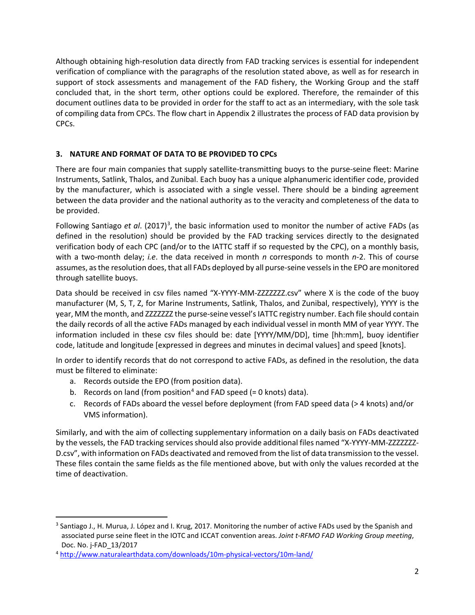Although obtaining high-resolution data directly from FAD tracking services is essential for independent verification of compliance with the paragraphs of the resolution stated above, as well as for research in support of stock assessments and management of the FAD fishery, the Working Group and the staff concluded that, in the short term, other options could be explored. Therefore, the remainder of this document outlines data to be provided in order for the staff to act as an intermediary, with the sole task of compiling data from CPCs. The flow chart in Appendix 2 illustrates the process of FAD data provision by CPCs.

# **3. NATURE AND FORMAT OF DATA TO BE PROVIDED TO CPCs**

There are four main companies that supply satellite-transmitting buoys to the purse-seine fleet: Marine Instruments, Satlink, Thalos, and Zunibal. Each buoy has a unique alphanumeric identifier code, provided by the manufacturer, which is associated with a single vessel. There should be a binding agreement between the data provider and the national authority as to the veracity and completeness of the data to be provided.

Following Santiago et al. (2017)<sup>[3](#page-1-0)</sup>, the basic information used to monitor the number of active FADs (as defined in the resolution) should be provided by the FAD tracking services directly to the designated verification body of each CPC (and/or to the IATTC staff if so requested by the CPC), on a monthly basis, with a two-month delay; *i.e*. the data received in month *n* corresponds to month *n*-2. This of course assumes, as the resolution does, that all FADs deployed by all purse-seine vessels in the EPO are monitored through satellite buoys.

Data should be received in csv files named "X-YYYY-MM-ZZZZZZZ.csv" where X is the code of the buoy manufacturer (M, S, T, Z, for Marine Instruments, Satlink, Thalos, and Zunibal, respectively), YYYY is the year, MM the month, and ZZZZZZZ the purse-seine vessel's IATTC registry number. Each file should contain the daily records of all the active FADs managed by each individual vessel in month MM of year YYYY. The information included in these csv files should be: date [YYYY/MM/DD], time [hh:mm], buoy identifier code, latitude and longitude [expressed in degrees and minutes in decimal values] and speed [knots].

In order to identify records that do not correspond to active FADs, as defined in the resolution, the data must be filtered to eliminate:

- a. Records outside the EPO (from position data).
- b. Records on land (from position<sup>[4](#page-1-1)</sup> and FAD speed  $(= 0 \text{ knots})$  data).
- c. Records of FADs aboard the vessel before deployment (from FAD speed data (> 4 knots) and/or VMS information).

Similarly, and with the aim of collecting supplementary information on a daily basis on FADs deactivated by the vessels, the FAD tracking services should also provide additional files named "X-YYYY-MM-ZZZZZZZ-D.csv", with information on FADs deactivated and removed from the list of data transmission to the vessel. These files contain the same fields as the file mentioned above, but with only the values recorded at the time of deactivation.

<span id="page-1-0"></span><sup>&</sup>lt;sup>3</sup> Santiago J., H. Murua, J. López and I. Krug, 2017. Monitoring the number of active FADs used by the Spanish and associated purse seine fleet in the IOTC and ICCAT convention areas. *Joint t-RFMO FAD Working Group meeting*, Doc. No. j-FAD\_13/2017

<span id="page-1-1"></span><sup>4</sup> <http://www.naturalearthdata.com/downloads/10m-physical-vectors/10m-land/>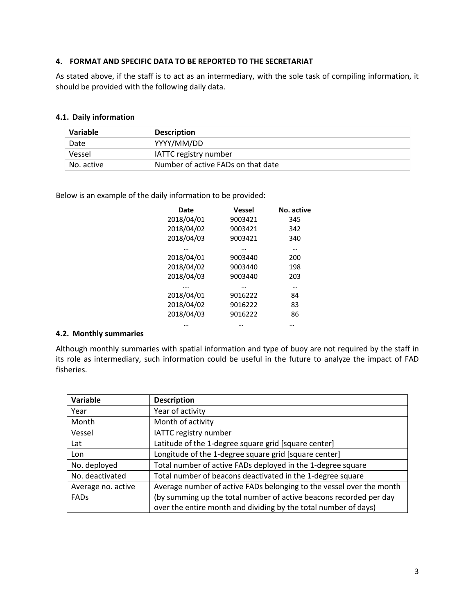## **4. FORMAT AND SPECIFIC DATA TO BE REPORTED TO THE SECRETARIAT**

As stated above, if the staff is to act as an intermediary, with the sole task of compiling information, it should be provided with the following daily data.

#### **4.1. Daily information**

| Variable   | <b>Description</b>                 |
|------------|------------------------------------|
| Date       | YYYY/MM/DD                         |
| Vessel     | <b>IATTC registry number</b>       |
| No. active | Number of active FADs on that date |

Below is an example of the daily information to be provided:

| Date       | <b>Vessel</b> | No. active |
|------------|---------------|------------|
| 2018/04/01 | 9003421       | 345        |
| 2018/04/02 | 9003421       | 342        |
| 2018/04/03 | 9003421       | 340        |
|            |               |            |
| 2018/04/01 | 9003440       | 200        |
| 2018/04/02 | 9003440       | 198        |
| 2018/04/03 | 9003440       | 203        |
|            |               |            |
| 2018/04/01 | 9016222       | 84         |
| 2018/04/02 | 9016222       | 83         |
| 2018/04/03 | 9016222       | 86         |
|            |               |            |
|            |               |            |

## **4.2. Monthly summaries**

Although monthly summaries with spatial information and type of buoy are not required by the staff in its role as intermediary, such information could be useful in the future to analyze the impact of FAD fisheries.

| Variable           | <b>Description</b>                                                   |
|--------------------|----------------------------------------------------------------------|
| Year               | Year of activity                                                     |
| Month              | Month of activity                                                    |
| Vessel             | IATTC registry number                                                |
| Lat                | Latitude of the 1-degree square grid [square center]                 |
| Lon                | Longitude of the 1-degree square grid [square center]                |
| No. deployed       | Total number of active FADs deployed in the 1-degree square          |
| No. deactivated    | Total number of beacons deactivated in the 1-degree square           |
| Average no. active | Average number of active FADs belonging to the vessel over the month |
| FADS               | (by summing up the total number of active beacons recorded per day   |
|                    | over the entire month and dividing by the total number of days)      |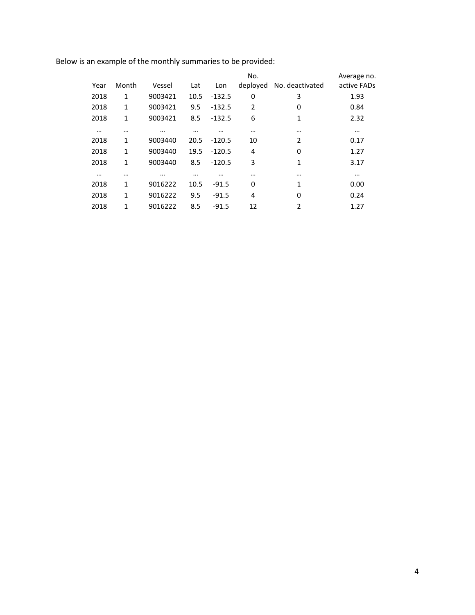Below is an example of the monthly summaries to be provided:

|          |              |          |          |          | No.            |                 | Average no. |
|----------|--------------|----------|----------|----------|----------------|-----------------|-------------|
| Year     | Month        | Vessel   | Lat      | Lon      | deployed       | No. deactivated | active FADs |
| 2018     | 1            | 9003421  | 10.5     | $-132.5$ | 0              | 3               | 1.93        |
| 2018     | 1            | 9003421  | 9.5      | $-132.5$ | $\overline{2}$ | 0               | 0.84        |
| 2018     | 1            | 9003421  | 8.5      | $-132.5$ | 6              | 1               | 2.32        |
| $\cdots$ | $\cdots$     | $\cdots$ | $\cdots$ | $\cdots$ | $\cdots$       | $\cdots$        | $\cdots$    |
| 2018     | 1            | 9003440  | 20.5     | $-120.5$ | 10             | $\overline{2}$  | 0.17        |
| 2018     | 1            | 9003440  | 19.5     | $-120.5$ | 4              | 0               | 1.27        |
| 2018     | $\mathbf{1}$ | 9003440  | 8.5      | $-120.5$ | 3              | 1               | 3.17        |
| $\cdots$ | $\cdots$     | $\cdots$ | $\cdots$ | $\cdots$ | $\cdots$       | $\cdots$        | $\cdots$    |
| 2018     | 1            | 9016222  | 10.5     | $-91.5$  | 0              | 1               | 0.00        |
| 2018     | $\mathbf{1}$ | 9016222  | 9.5      | $-91.5$  | 4              | 0               | 0.24        |
| 2018     | $\mathbf{1}$ | 9016222  | 8.5      | $-91.5$  | 12             | 2               | 1.27        |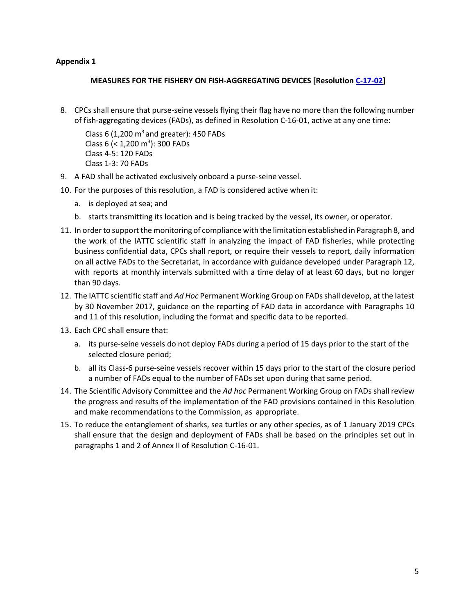## **Appendix 1**

## **MEASURES FOR THE FISHERY ON FISH-AGGREGATING DEVICES [Resolutio[n C-17-02\]](https://www.iattc.org/PDFFiles2/Resolutions/C-17-02-Tuna-conservation-in-the-EPO-2018-2020-and-amendment-to-Res.-C-17-01.pdf)**

8. CPCs shall ensure that purse-seine vessels flying their flag have no more than the following number of fish-aggregating devices (FADs), as defined in Resolution C-16-01, active at any one time:

Class 6 (1,200  $\text{m}^3$  and greater): 450 FADs Class 6 (< 1,200 m<sup>3</sup>): 300 FADs Class 4-5: 120 FADs Class 1-3: 70 FADs

- 9. A FAD shall be activated exclusively onboard a purse-seine vessel.
- 10. For the purposes of this resolution, a FAD is considered active when it:
	- a. is deployed at sea; and
	- b. starts transmitting its location and is being tracked by the vessel, its owner, or operator.
- 11. In orderto support the monitoring of compliance with the limitation established in Paragraph 8, and the work of the IATTC scientific staff in analyzing the impact of FAD fisheries, while protecting business confidential data, CPCs shall report, or require their vessels to report, daily information on all active FADs to the Secretariat, in accordance with guidance developed under Paragraph 12, with reports at monthly intervals submitted with a time delay of at least 60 days, but no longer than 90 days.
- 12. The IATTC scientific staff and *Ad Hoc* Permanent Working Group on FADs shall develop, at the latest by 30 November 2017, guidance on the reporting of FAD data in accordance with Paragraphs 10 and 11 of this resolution, including the format and specific data to be reported.
- 13. Each CPC shall ensure that:
	- a. its purse-seine vessels do not deploy FADs during a period of 15 days prior to the start of the selected closure period;
	- b. all its Class-6 purse-seine vessels recover within 15 days prior to the start of the closure period a number of FADs equal to the number of FADs set upon during that same period.
- 14. The Scientific Advisory Committee and the *Ad hoc* Permanent Working Group on FADs shall review the progress and results of the implementation of the FAD provisions contained in this Resolution and make recommendations to the Commission, as appropriate.
- 15. To reduce the entanglement of sharks, sea turtles or any other species, as of 1 January 2019 CPCs shall ensure that the design and deployment of FADs shall be based on the principles set out in paragraphs 1 and 2 of Annex II of Resolution C-16-01.